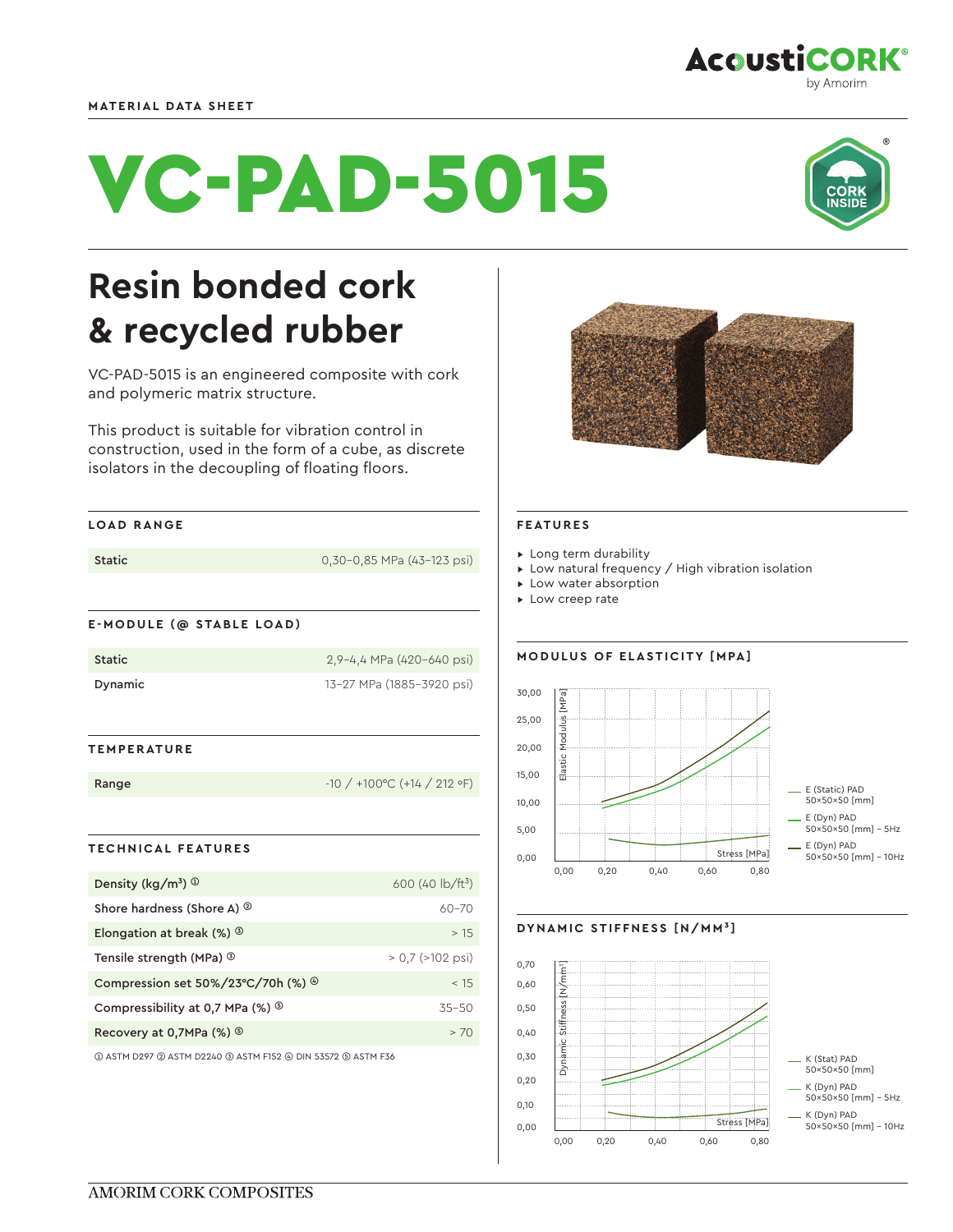## **MATERIAL DATA SHEET**

# VC-PAD-5015



VC-PAD-5015 is an engineered composite with cork and polymeric matrix structure.

This product is suitable for vibration control in construction, used in the form of a cube, as discrete isolators in the decoupling of floating floors.

#### **LOAD RANGE**

| Static | 0,30-0,85 MPa (43-123 psi) |
|--------|----------------------------|
|        |                            |

# **E-MODULE (@ STABLE LOAD)**

| Static  | 2,9-4,4 MPa (420-640 psi) |
|---------|---------------------------|
| Dynamic | 13-27 MPa (1885-3920 psi) |

## **TEMPERATURE**

| Range | $-10/+100^{\circ}$ C (+14 / 212 $\circ$ F) |
|-------|--------------------------------------------|
|-------|--------------------------------------------|

## **TECHNICAL FEATURES**

| Density ( $\text{kg}/\text{m}^3$ ) $\textcircled{1}$  | 600 (40 $\frac{1}{2}$ b/ft <sup>3</sup> ) |
|-------------------------------------------------------|-------------------------------------------|
| Shore hardness (Shore A) $\circledcirc$               | $60 - 70$                                 |
| Elongation at break $(\%)$                            | >15                                       |
| Tensile strength (MPa) <sup>3</sup>                   | $> 0.7$ ( $>102$ psi)                     |
| Compression set $50\%/23^{\circ}C/70h$ (%) $^{\circ}$ | < 15                                      |
| Compressibility at 0.7 MPa $(\%)$                     | $35 - 50$                                 |
| Recovery at 0,7MPa $(\%)$                             | >70                                       |

➀ ASTM D297 ➁ ASTM D2240 ➂ ASTM F152 ➃ DIN 53572 ➄ ASTM F36



#### **FEATURES**

▸ Long term durability

- ▸ Low natural frequency / High vibration isolation
- ▸ Low water absorption
- ▸ Low creep rate

## **MODULUS OF ELASTICITY [MPA]**



## **DYNAMIC STIFFNESS [N/MM³]**